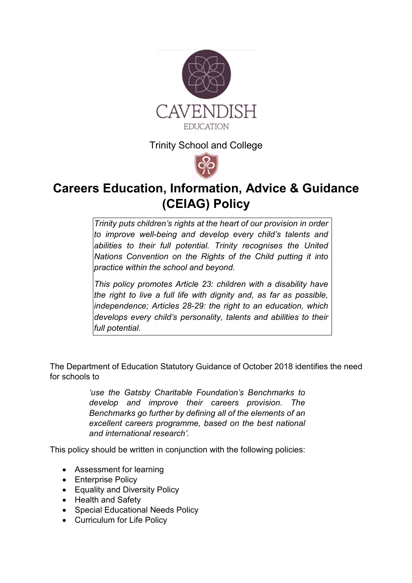

Trinity School and College



# **Careers Education, Information, Advice & Guidance (CEIAG) Policy**

*Trinity puts children's rights at the heart of our provision in order to improve well-being and develop every child's talents and abilities to their full potential. Trinity recognises the United Nations Convention on the Rights of the Child putting it into practice within the school and beyond.* 

*This policy promotes Article 23: children with a disability have the right to live a full life with dignity and, as far as possible, independence; Articles 28-29: the right to an education, which develops every child's personality, talents and abilities to their full potential.* 

The Department of Education Statutory Guidance of October 2018 identifies the need for schools to

> *'use the Gatsby Charitable Foundation's Benchmarks to develop and improve their careers provision. The Benchmarks go further by defining all of the elements of an excellent careers programme, based on the best national and international research'.*

This policy should be written in conjunction with the following policies:

- Assessment for learning
- Enterprise Policy
- Equality and Diversity Policy
- Health and Safety
- Special Educational Needs Policy
- Curriculum for Life Policy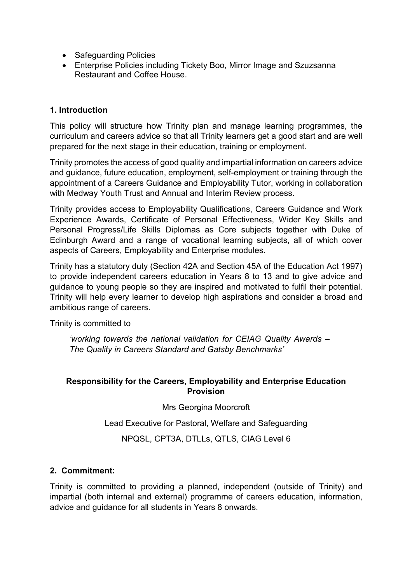- Safeguarding Policies
- Enterprise Policies including Tickety Boo, Mirror Image and Szuzsanna Restaurant and Coffee House.

#### **1. Introduction**

This policy will structure how Trinity plan and manage learning programmes, the curriculum and careers advice so that all Trinity learners get a good start and are well prepared for the next stage in their education, training or employment.

Trinity promotes the access of good quality and impartial information on careers advice and guidance, future education, employment, self-employment or training through the appointment of a Careers Guidance and Employability Tutor, working in collaboration with Medway Youth Trust and Annual and Interim Review process.

Trinity provides access to Employability Qualifications, Careers Guidance and Work Experience Awards, Certificate of Personal Effectiveness, Wider Key Skills and Personal Progress/Life Skills Diplomas as Core subjects together with Duke of Edinburgh Award and a range of vocational learning subjects, all of which cover aspects of Careers, Employability and Enterprise modules.

Trinity has a statutory duty (Section 42A and Section 45A of the Education Act 1997) to provide independent careers education in Years 8 to 13 and to give advice and guidance to young people so they are inspired and motivated to fulfil their potential. Trinity will help every learner to develop high aspirations and consider a broad and ambitious range of careers.

Trinity is committed to

*'working towards the national validation for CEIAG Quality Awards – The Quality in Careers Standard and Gatsby Benchmarks'*

#### **Responsibility for the Careers, Employability and Enterprise Education Provision**

Mrs Georgina Moorcroft

Lead Executive for Pastoral, Welfare and Safeguarding

NPQSL, CPT3A, DTLLs, QTLS, CIAG Level 6

#### **2. Commitment:**

Trinity is committed to providing a planned, independent (outside of Trinity) and impartial (both internal and external) programme of careers education, information, advice and guidance for all students in Years 8 onwards.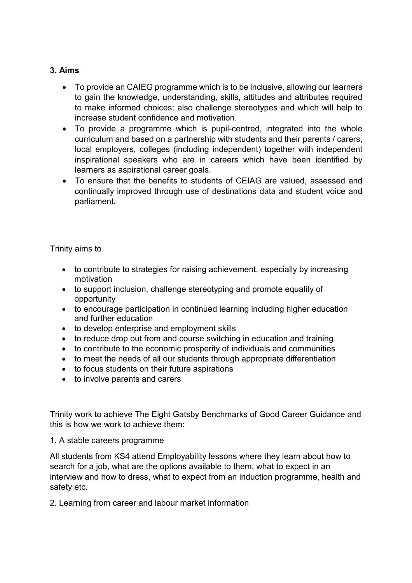## **3. Aims**

- To provide an CAIEG programme which is to be inclusive, allowing our learners to gain the knowledge, understanding, skills, attitudes and attributes required to make informed choices; also challenge stereotypes and which will help to increase student confidence and motivation.
- To provide a programme which is pupil-centred, integrated into the whole curriculum and based on a partnership with students and their parents / carers, local employers, colleges (including independent) together with independent inspirational speakers who are in careers which have been identified by learners as aspirational career goals.
- To ensure that the benefits to students of CEIAG are valued, assessed and continually improved through use of destinations data and student voice and parliament.

Trinity aims to

- to contribute to strategies for raising achievement, especially by increasing motivation
- to support inclusion, challenge stereotyping and promote equality of opportunity
- to encourage participation in continued learning including higher education and further education
- to develop enterprise and employment skills
- to reduce drop out from and course switching in education and training
- to contribute to the economic prosperity of individuals and communities
- to meet the needs of all our students through appropriate differentiation
- to focus students on their future aspirations
- to involve parents and carers

Trinity work to achieve The Eight Gatsby Benchmarks of Good Career Guidance and this is how we work to achieve them:

#### 1. A stable careers programme

All students from KS4 attend Employability lessons where they learn about how to search for a job, what are the options available to them, what to expect in an interview and how to dress, what to expect from an induction programme, health and safety etc.

2. Learning from career and labour market information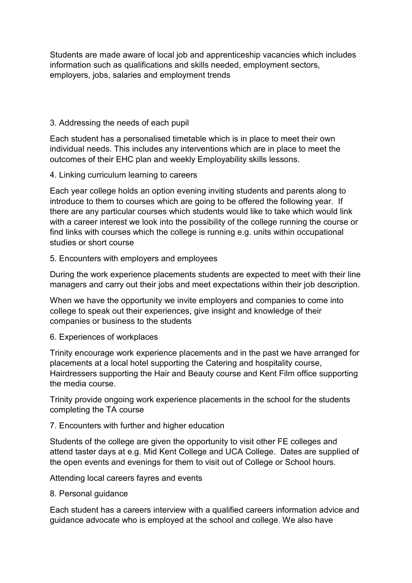Students are made aware of local job and apprenticeship vacancies which includes information such as qualifications and skills needed, employment sectors, employers, jobs, salaries and employment trends

#### 3. Addressing the needs of each pupil

Each student has a personalised timetable which is in place to meet their own individual needs. This includes any interventions which are in place to meet the outcomes of their EHC plan and weekly Employability skills lessons.

#### 4. Linking curriculum learning to careers

Each year college holds an option evening inviting students and parents along to introduce to them to courses which are going to be offered the following year. If there are any particular courses which students would like to take which would link with a career interest we look into the possibility of the college running the course or find links with courses which the college is running e.g. units within occupational studies or short course

#### 5. Encounters with employers and employees

During the work experience placements students are expected to meet with their line managers and carry out their jobs and meet expectations within their job description.

When we have the opportunity we invite employers and companies to come into college to speak out their experiences, give insight and knowledge of their companies or business to the students

## 6. Experiences of workplaces

Trinity encourage work experience placements and in the past we have arranged for placements at a local hotel supporting the Catering and hospitality course, Hairdressers supporting the Hair and Beauty course and Kent Film office supporting the media course.

Trinity provide ongoing work experience placements in the school for the students completing the TA course

## 7. Encounters with further and higher education

Students of the college are given the opportunity to visit other FE colleges and attend taster days at e.g. Mid Kent College and UCA College. Dates are supplied of the open events and evenings for them to visit out of College or School hours.

Attending local careers fayres and events

8. Personal guidance

Each student has a careers interview with a qualified careers information advice and guidance advocate who is employed at the school and college. We also have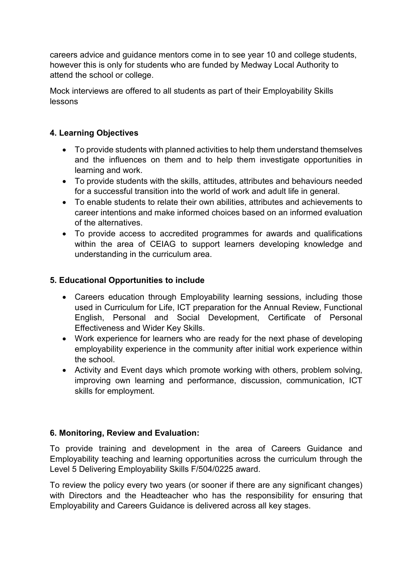careers advice and guidance mentors come in to see year 10 and college students, however this is only for students who are funded by Medway Local Authority to attend the school or college.

Mock interviews are offered to all students as part of their Employability Skills lessons

## **4. Learning Objectives**

- To provide students with planned activities to help them understand themselves and the influences on them and to help them investigate opportunities in learning and work.
- To provide students with the skills, attitudes, attributes and behaviours needed for a successful transition into the world of work and adult life in general.
- To enable students to relate their own abilities, attributes and achievements to career intentions and make informed choices based on an informed evaluation of the alternatives.
- To provide access to accredited programmes for awards and qualifications within the area of CEIAG to support learners developing knowledge and understanding in the curriculum area.

## **5. Educational Opportunities to include**

- Careers education through Employability learning sessions, including those used in Curriculum for Life, ICT preparation for the Annual Review, Functional English, Personal and Social Development, Certificate of Personal Effectiveness and Wider Key Skills.
- Work experience for learners who are ready for the next phase of developing employability experience in the community after initial work experience within the school.
- Activity and Event days which promote working with others, problem solving, improving own learning and performance, discussion, communication, ICT skills for employment.

## **6. Monitoring, Review and Evaluation:**

To provide training and development in the area of Careers Guidance and Employability teaching and learning opportunities across the curriculum through the Level 5 Delivering Employability Skills F/504/0225 award.

To review the policy every two years (or sooner if there are any significant changes) with Directors and the Headteacher who has the responsibility for ensuring that Employability and Careers Guidance is delivered across all key stages.